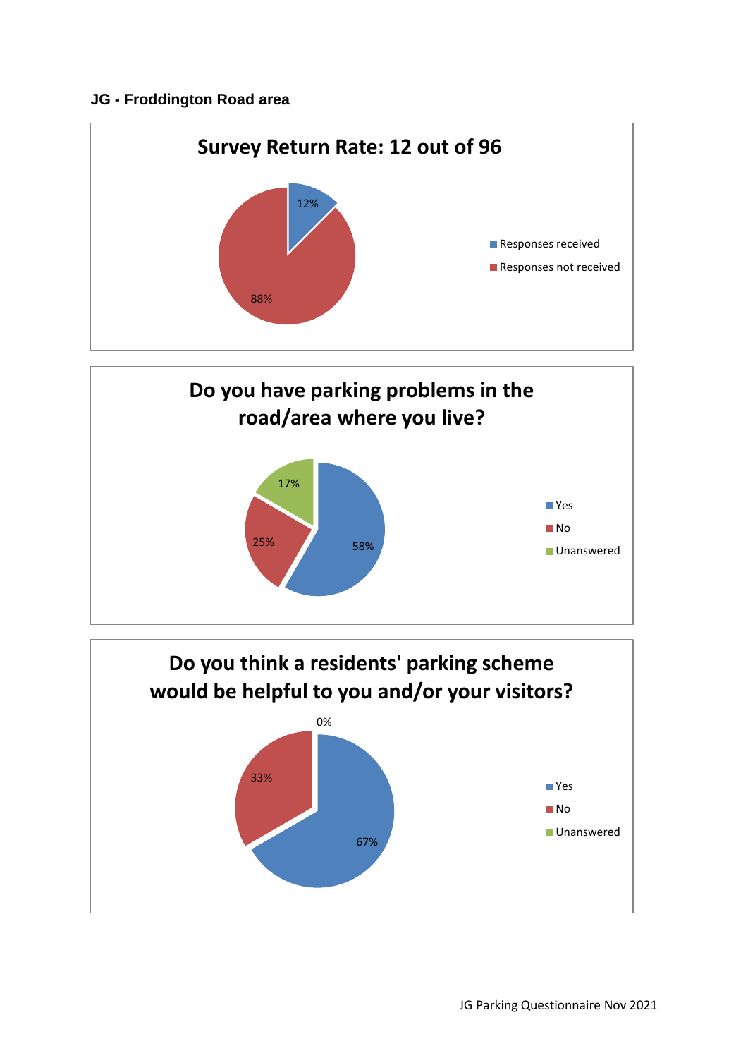## **JG - Froddington Road area**





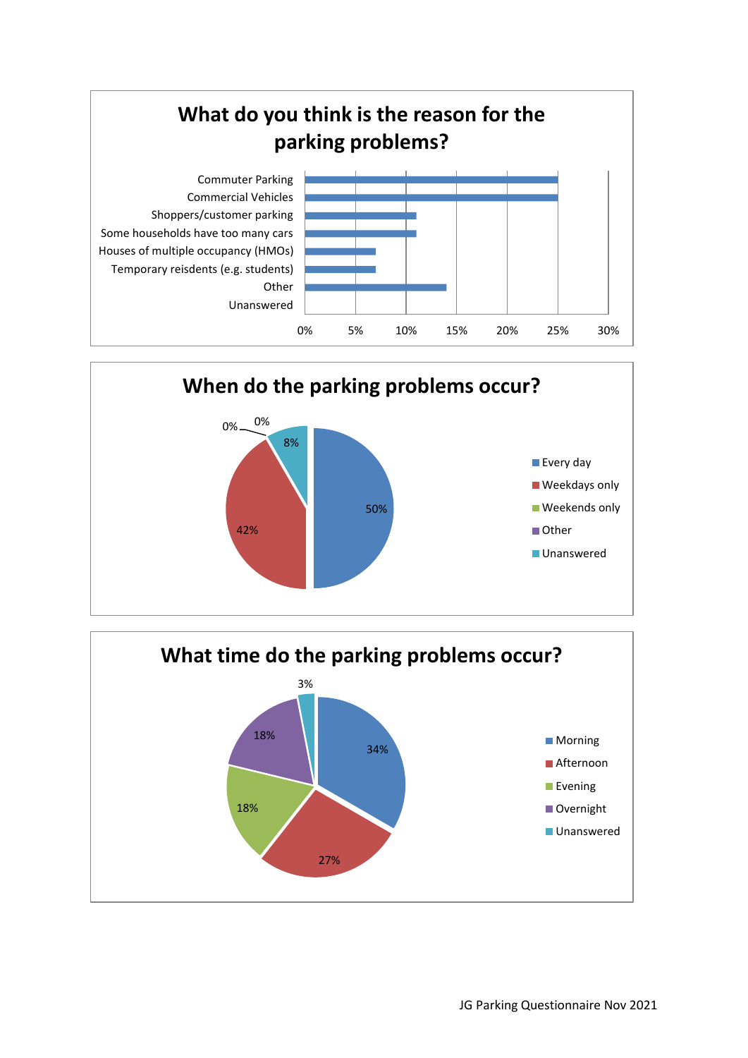



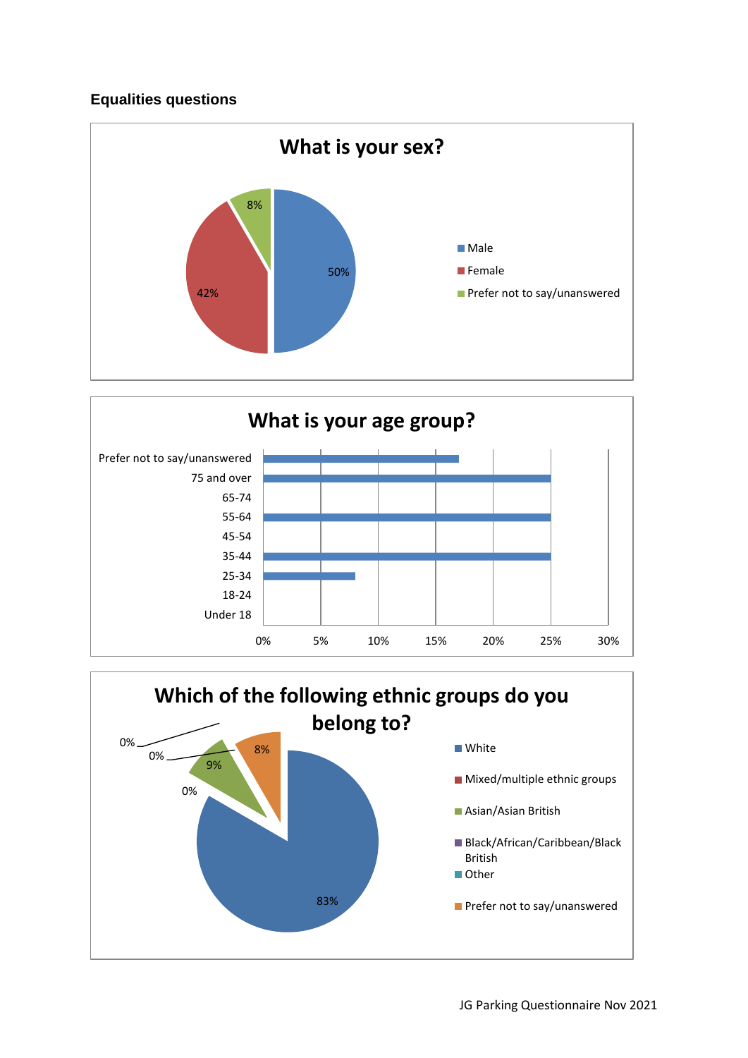## **Equalities questions**





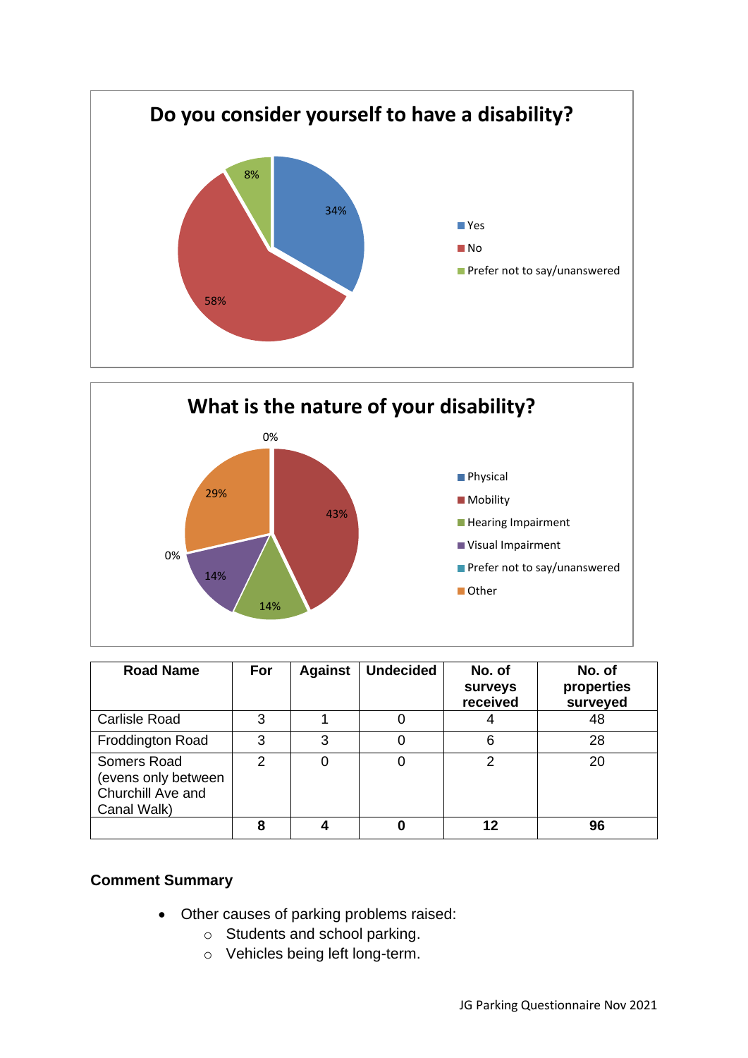



| <b>Road Name</b>                                                       | For           | <b>Against</b> | <b>Undecided</b> | No. of<br><b>Surveys</b><br>received | No. of<br>properties<br>surveyed |
|------------------------------------------------------------------------|---------------|----------------|------------------|--------------------------------------|----------------------------------|
| <b>Carlisle Road</b>                                                   | 3             |                |                  |                                      | 48                               |
| <b>Froddington Road</b>                                                | 3             | 3              |                  | 6                                    | 28                               |
| Somers Road<br>(evens only between<br>Churchill Ave and<br>Canal Walk) | $\mathcal{P}$ |                |                  | 2                                    | 20                               |
|                                                                        | 8             |                |                  |                                      | 96                               |

## **Comment Summary**

- Other causes of parking problems raised:
	- o Students and school parking.
	- o Vehicles being left long-term.